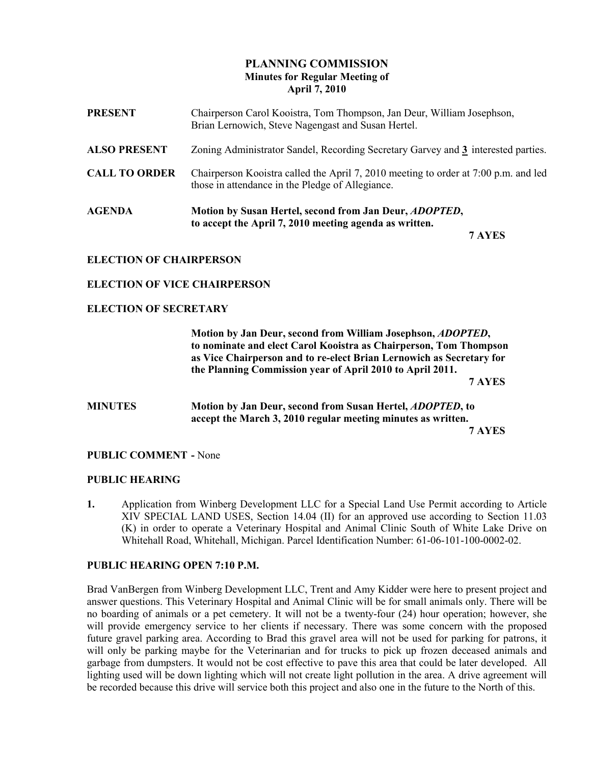# PLANNING COMMISSION Minutes for Regular Meeting of April 7, 2010

| <b>PRESENT</b>       | Chairperson Carol Kooistra, Tom Thompson, Jan Deur, William Josephson,<br>Brian Lernowich, Steve Nagengast and Susan Hertel.            |
|----------------------|-----------------------------------------------------------------------------------------------------------------------------------------|
| <b>ALSO PRESENT</b>  | Zoning Administrator Sandel, Recording Secretary Garvey and 3 interested parties.                                                       |
| <b>CALL TO ORDER</b> | Chairperson Kooistra called the April 7, 2010 meeting to order at 7:00 p.m. and led<br>those in attendance in the Pledge of Allegiance. |
| <b>AGENDA</b>        | Motion by Susan Hertel, second from Jan Deur, <i>ADOPTED</i> ,<br>to accept the April 7, 2010 meeting agenda as written.                |

7 AYES

## ELECTION OF CHAIRPERSON

### ELECTION OF VICE CHAIRPERSON

### ELECTION OF SECRETARY

 Motion by Jan Deur, second from William Josephson, ADOPTED, to nominate and elect Carol Kooistra as Chairperson, Tom Thompson as Vice Chairperson and to re-elect Brian Lernowich as Secretary for the Planning Commission year of April 2010 to April 2011.

7 AYES

# MINUTES Motion by Jan Deur, second from Susan Hertel, ADOPTED, to accept the March 3, 2010 regular meeting minutes as written. 7 AYES

#### PUBLIC COMMENT - None

#### PUBLIC HEARING

1. Application from Winberg Development LLC for a Special Land Use Permit according to Article XIV SPECIAL LAND USES, Section 14.04 (II) for an approved use according to Section 11.03 (K) in order to operate a Veterinary Hospital and Animal Clinic South of White Lake Drive on Whitehall Road, Whitehall, Michigan. Parcel Identification Number: 61-06-101-100-0002-02.

### PUBLIC HEARING OPEN 7:10 P.M.

Brad VanBergen from Winberg Development LLC, Trent and Amy Kidder were here to present project and answer questions. This Veterinary Hospital and Animal Clinic will be for small animals only. There will be no boarding of animals or a pet cemetery. It will not be a twenty-four (24) hour operation; however, she will provide emergency service to her clients if necessary. There was some concern with the proposed future gravel parking area. According to Brad this gravel area will not be used for parking for patrons, it will only be parking maybe for the Veterinarian and for trucks to pick up frozen deceased animals and garbage from dumpsters. It would not be cost effective to pave this area that could be later developed. All lighting used will be down lighting which will not create light pollution in the area. A drive agreement will be recorded because this drive will service both this project and also one in the future to the North of this.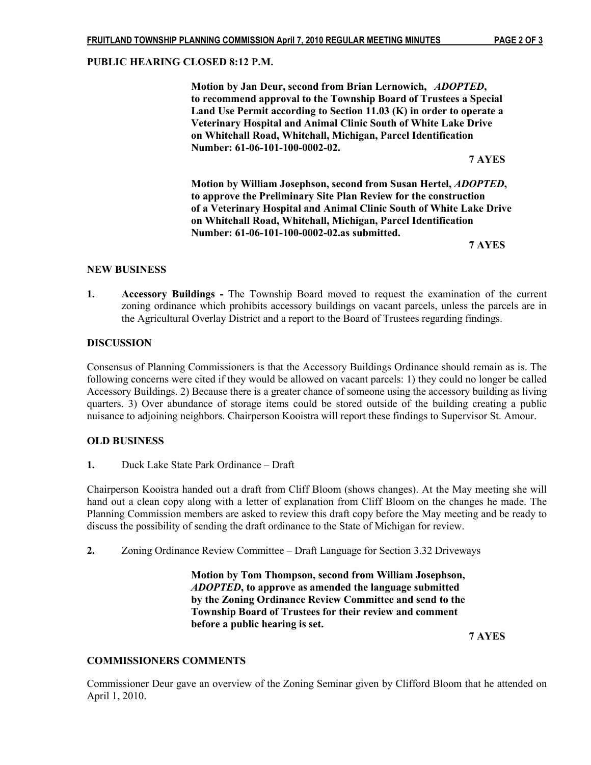### PUBLIC HEARING CLOSED 8:12 P.M.

 Motion by Jan Deur, second from Brian Lernowich, ADOPTED, to recommend approval to the Township Board of Trustees a Special Land Use Permit according to Section 11.03 (K) in order to operate a Veterinary Hospital and Animal Clinic South of White Lake Drive on Whitehall Road, Whitehall, Michigan, Parcel Identification Number: 61-06-101-100-0002-02.

7 AYES

 Motion by William Josephson, second from Susan Hertel, ADOPTED, to approve the Preliminary Site Plan Review for the construction of a Veterinary Hospital and Animal Clinic South of White Lake Drive on Whitehall Road, Whitehall, Michigan, Parcel Identification Number: 61-06-101-100-0002-02.as submitted.

7 AYES

### NEW BUSINESS

1. Accessory Buildings - The Township Board moved to request the examination of the current zoning ordinance which prohibits accessory buildings on vacant parcels, unless the parcels are in the Agricultural Overlay District and a report to the Board of Trustees regarding findings.

### **DISCUSSION**

Consensus of Planning Commissioners is that the Accessory Buildings Ordinance should remain as is. The following concerns were cited if they would be allowed on vacant parcels: 1) they could no longer be called Accessory Buildings. 2) Because there is a greater chance of someone using the accessory building as living quarters. 3) Over abundance of storage items could be stored outside of the building creating a public nuisance to adjoining neighbors. Chairperson Kooistra will report these findings to Supervisor St. Amour.

## OLD BUSINESS

1. Duck Lake State Park Ordinance – Draft

Chairperson Kooistra handed out a draft from Cliff Bloom (shows changes). At the May meeting she will hand out a clean copy along with a letter of explanation from Cliff Bloom on the changes he made. The Planning Commission members are asked to review this draft copy before the May meeting and be ready to discuss the possibility of sending the draft ordinance to the State of Michigan for review.

2. Zoning Ordinance Review Committee – Draft Language for Section 3.32 Driveways

 Motion by Tom Thompson, second from William Josephson, ADOPTED, to approve as amended the language submitted by the Zoning Ordinance Review Committee and send to the Township Board of Trustees for their review and comment before a public hearing is set.

7 AYES

## COMMISSIONERS COMMENTS

Commissioner Deur gave an overview of the Zoning Seminar given by Clifford Bloom that he attended on April 1, 2010.